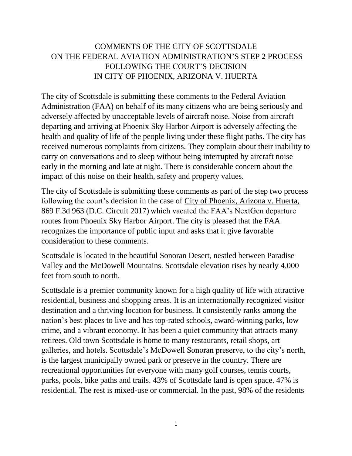# COMMENTS OF THE CITY OF SCOTTSDALE ON THE FEDERAL AVIATION ADMINISTRATION'S STEP 2 PROCESS FOLLOWING THE COURT'S DECISION IN CITY OF PHOENIX, ARIZONA V. HUERTA

The city of Scottsdale is submitting these comments to the Federal Aviation Administration (FAA) on behalf of its many citizens who are being seriously and adversely affected by unacceptable levels of aircraft noise. Noise from aircraft departing and arriving at Phoenix Sky Harbor Airport is adversely affecting the health and quality of life of the people living under these flight paths. The city has received numerous complaints from citizens. They complain about their inability to carry on conversations and to sleep without being interrupted by aircraft noise early in the morning and late at night. There is considerable concern about the impact of this noise on their health, safety and property values.

The city of Scottsdale is submitting these comments as part of the step two process following the court's decision in the case of City of Phoenix, Arizona v. Huerta, 869 F.3d 963 (D.C. Circuit 2017) which vacated the FAA's NextGen departure routes from Phoenix Sky Harbor Airport. The city is pleased that the FAA recognizes the importance of public input and asks that it give favorable consideration to these comments.

Scottsdale is located in the beautiful Sonoran Desert, nestled between Paradise Valley and the McDowell Mountains. Scottsdale elevation rises by nearly 4,000 feet from south to north.

Scottsdale is a premier community known for a high quality of life with attractive residential, business and shopping areas. It is an internationally recognized visitor destination and a thriving location for business. It consistently ranks among the nation's best places to live and has top-rated schools, award-winning parks, low crime, and a vibrant economy. It has been a quiet community that attracts many retirees. Old town Scottsdale is home to many restaurants, retail shops, art galleries, and hotels. Scottsdale's McDowell Sonoran preserve, to the city's north, is the largest municipally owned park or preserve in the country. There are recreational opportunities for everyone with many golf courses, tennis courts, parks, pools, bike paths and trails. 43% of Scottsdale land is open space. 47% is residential. The rest is mixed-use or commercial. In the past, 98% of the residents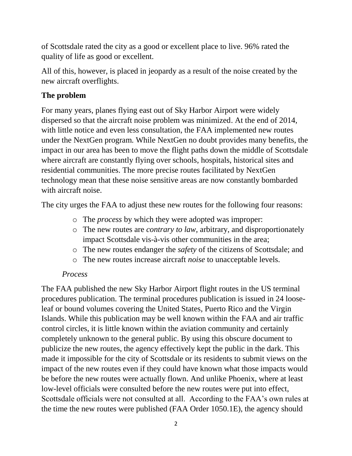of Scottsdale rated the city as a good or excellent place to live. 96% rated the quality of life as good or excellent.

All of this, however, is placed in jeopardy as a result of the noise created by the new aircraft overflights.

### **The problem**

For many years, planes flying east out of Sky Harbor Airport were widely dispersed so that the aircraft noise problem was minimized. At the end of 2014, with little notice and even less consultation, the FAA implemented new routes under the NextGen program. While NextGen no doubt provides many benefits, the impact in our area has been to move the flight paths down the middle of Scottsdale where aircraft are constantly flying over schools, hospitals, historical sites and residential communities. The more precise routes facilitated by NextGen technology mean that these noise sensitive areas are now constantly bombarded with aircraft noise.

The city urges the FAA to adjust these new routes for the following four reasons:

- o The *process* by which they were adopted was improper:
- o The new routes are *contrary to law,* arbitrary, and disproportionately impact Scottsdale vis-à-vis other communities in the area;
- o The new routes endanger the *safety* of the citizens of Scottsdale; and
- o The new routes increase aircraft *noise* to unacceptable levels.

#### *Process*

The FAA published the new Sky Harbor Airport flight routes in the US terminal procedures publication. The terminal procedures publication is issued in 24 looseleaf or bound volumes covering the United States, Puerto Rico and the Virgin Islands. While this publication may be well known within the FAA and air traffic control circles, it is little known within the aviation community and certainly completely unknown to the general public. By using this obscure document to publicize the new routes, the agency effectively kept the public in the dark. This made it impossible for the city of Scottsdale or its residents to submit views on the impact of the new routes even if they could have known what those impacts would be before the new routes were actually flown. And unlike Phoenix, where at least low-level officials were consulted before the new routes were put into effect, Scottsdale officials were not consulted at all. According to the FAA's own rules at the time the new routes were published (FAA Order 1050.1E), the agency should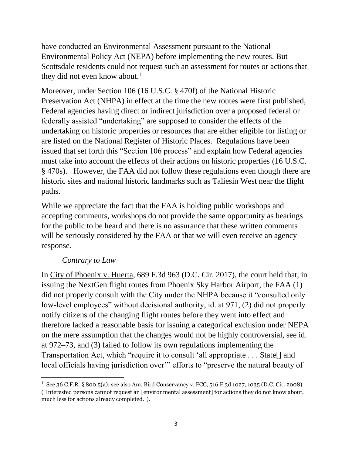have conducted an Environmental Assessment pursuant to the National Environmental Policy Act (NEPA) before implementing the new routes. But Scottsdale residents could not request such an assessment for routes or actions that they did not even know about.<sup>1</sup>

Moreover, under Section 106 (16 U.S.C. § 470f) of the National Historic Preservation Act (NHPA) in effect at the time the new routes were first published, Federal agencies having direct or indirect jurisdiction over a proposed federal or federally assisted "undertaking" are supposed to consider the effects of the undertaking on historic properties or resources that are either eligible for listing or are listed on the National Register of Historic Places. Regulations have been issued that set forth this "Section 106 process" and explain how Federal agencies must take into account the effects of their actions on historic properties (16 U.S.C. § 470s). However, the FAA did not follow these regulations even though there are historic sites and national historic landmarks such as Taliesin West near the flight paths.

While we appreciate the fact that the FAA is holding public workshops and accepting comments, workshops do not provide the same opportunity as hearings for the public to be heard and there is no assurance that these written comments will be seriously considered by the FAA or that we will even receive an agency response.

### *Contrary to Law*

 $\overline{\phantom{a}}$ 

In City of Phoenix v. Huerta, 689 F.3d 963 (D.C. Cir. 2017), the court held that, in issuing the NextGen flight routes from Phoenix Sky Harbor Airport, the FAA (1) did not properly consult with the City under the NHPA because it "consulted only low-level employees" without decisional authority, id. at 971, (2) did not properly notify citizens of the changing flight routes before they went into effect and therefore lacked a reasonable basis for issuing a categorical exclusion under NEPA on the mere assumption that the changes would not be highly controversial, see id. at 972–73, and (3) failed to follow its own regulations implementing the Transportation Act, which "require it to consult 'all appropriate . . . State[] and local officials having jurisdiction over" efforts to "preserve the natural beauty of

<sup>1</sup> See 36 C.F.R. § 800.5(a); see also Am. Bird Conservancy v. FCC, 516 F.3d 1027, 1035 (D.C. Cir. 2008) ("Interested persons cannot request an [environmental assessment] for actions they do not know about, much less for actions already completed.").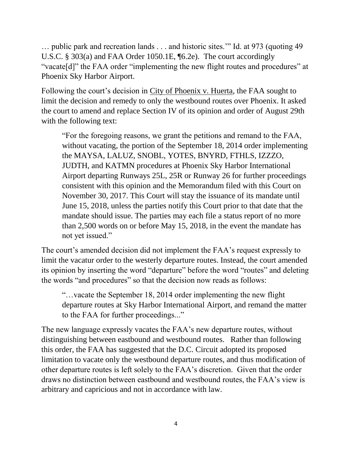… public park and recreation lands . . . and historic sites.'" Id. at 973 (quoting 49 U.S.C. § 303(a) and FAA Order 1050.1E, ¶6.2e). The court accordingly "vacate[d]" the FAA order "implementing the new flight routes and procedures" at Phoenix Sky Harbor Airport.

Following the court's decision in City of Phoenix v. Huerta, the FAA sought to limit the decision and remedy to only the westbound routes over Phoenix. It asked the court to amend and replace Section IV of its opinion and order of August 29th with the following text:

"For the foregoing reasons, we grant the petitions and remand to the FAA, without vacating, the portion of the September 18, 2014 order implementing the MAYSA, LALUZ, SNOBL, YOTES, BNYRD, FTHLS, IZZZO, JUDTH, and KATMN procedures at Phoenix Sky Harbor International Airport departing Runways 25L, 25R or Runway 26 for further proceedings consistent with this opinion and the Memorandum filed with this Court on November 30, 2017. This Court will stay the issuance of its mandate until June 15, 2018, unless the parties notify this Court prior to that date that the mandate should issue. The parties may each file a status report of no more than 2,500 words on or before May 15, 2018, in the event the mandate has not yet issued."

The court's amended decision did not implement the FAA's request expressly to limit the vacatur order to the westerly departure routes. Instead, the court amended its opinion by inserting the word "departure" before the word "routes" and deleting the words "and procedures" so that the decision now reads as follows:

"…vacate the September 18, 2014 order implementing the new flight departure routes at Sky Harbor International Airport, and remand the matter to the FAA for further proceedings..."

The new language expressly vacates the FAA's new departure routes, without distinguishing between eastbound and westbound routes. Rather than following this order, the FAA has suggested that the D.C. Circuit adopted its proposed limitation to vacate only the westbound departure routes, and thus modification of other departure routes is left solely to the FAA's discretion. Given that the order draws no distinction between eastbound and westbound routes, the FAA's view is arbitrary and capricious and not in accordance with law.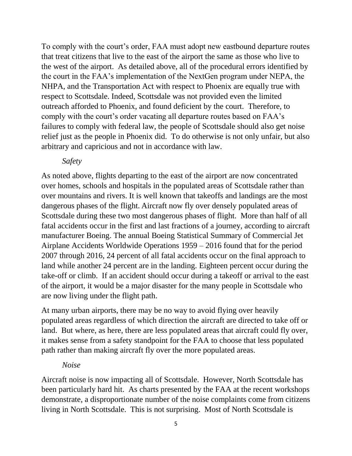To comply with the court's order, FAA must adopt new eastbound departure routes that treat citizens that live to the east of the airport the same as those who live to the west of the airport. As detailed above, all of the procedural errors identified by the court in the FAA's implementation of the NextGen program under NEPA, the NHPA, and the Transportation Act with respect to Phoenix are equally true with respect to Scottsdale. Indeed, Scottsdale was not provided even the limited outreach afforded to Phoenix, and found deficient by the court. Therefore, to comply with the court's order vacating all departure routes based on FAA's failures to comply with federal law, the people of Scottsdale should also get noise relief just as the people in Phoenix did. To do otherwise is not only unfair, but also arbitrary and capricious and not in accordance with law.

*Safety*

As noted above, flights departing to the east of the airport are now concentrated over homes, schools and hospitals in the populated areas of Scottsdale rather than over mountains and rivers. It is well known that takeoffs and landings are the most dangerous phases of the flight. Aircraft now fly over densely populated areas of Scottsdale during these two most dangerous phases of flight. More than half of all fatal accidents occur in the first and last fractions of a journey, according to aircraft manufacturer Boeing. The annual Boeing Statistical Summary of Commercial Jet Airplane Accidents Worldwide Operations 1959 – 2016 found that for the period 2007 through 2016, 24 percent of all fatal accidents occur on the final approach to land while another 24 percent are in the landing. Eighteen percent occur during the take-off or climb. If an accident should occur during a takeoff or arrival to the east of the airport, it would be a major disaster for the many people in Scottsdale who are now living under the flight path.

At many urban airports, there may be no way to avoid flying over heavily populated areas regardless of which direction the aircraft are directed to take off or land. But where, as here, there are less populated areas that aircraft could fly over, it makes sense from a safety standpoint for the FAA to choose that less populated path rather than making aircraft fly over the more populated areas.

### *Noise*

Aircraft noise is now impacting all of Scottsdale. However, North Scottsdale has been particularly hard hit. As charts presented by the FAA at the recent workshops demonstrate, a disproportionate number of the noise complaints come from citizens living in North Scottsdale. This is not surprising. Most of North Scottsdale is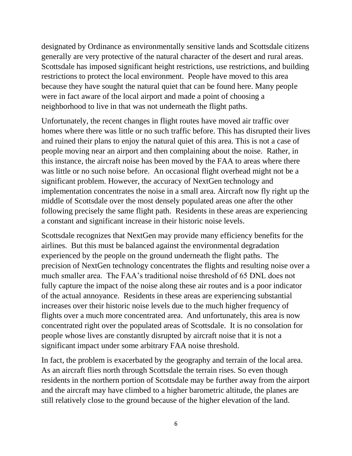designated by Ordinance as environmentally sensitive lands and Scottsdale citizens generally are very protective of the natural character of the desert and rural areas. Scottsdale has imposed significant height restrictions, use restrictions, and building restrictions to protect the local environment. People have moved to this area because they have sought the natural quiet that can be found here. Many people were in fact aware of the local airport and made a point of choosing a neighborhood to live in that was not underneath the flight paths.

Unfortunately, the recent changes in flight routes have moved air traffic over homes where there was little or no such traffic before. This has disrupted their lives and ruined their plans to enjoy the natural quiet of this area. This is not a case of people moving near an airport and then complaining about the noise. Rather, in this instance, the aircraft noise has been moved by the FAA to areas where there was little or no such noise before. An occasional flight overhead might not be a significant problem. However, the accuracy of NextGen technology and implementation concentrates the noise in a small area. Aircraft now fly right up the middle of Scottsdale over the most densely populated areas one after the other following precisely the same flight path. Residents in these areas are experiencing a constant and significant increase in their historic noise levels.

Scottsdale recognizes that NextGen may provide many efficiency benefits for the airlines. But this must be balanced against the environmental degradation experienced by the people on the ground underneath the flight paths. The precision of NextGen technology concentrates the flights and resulting noise over a much smaller area. The FAA's traditional noise threshold of 65 DNL does not fully capture the impact of the noise along these air routes and is a poor indicator of the actual annoyance. Residents in these areas are experiencing substantial increases over their historic noise levels due to the much higher frequency of flights over a much more concentrated area. And unfortunately, this area is now concentrated right over the populated areas of Scottsdale. It is no consolation for people whose lives are constantly disrupted by aircraft noise that it is not a significant impact under some arbitrary FAA noise threshold.

In fact, the problem is exacerbated by the geography and terrain of the local area. As an aircraft flies north through Scottsdale the terrain rises. So even though residents in the northern portion of Scottsdale may be further away from the airport and the aircraft may have climbed to a higher barometric altitude, the planes are still relatively close to the ground because of the higher elevation of the land.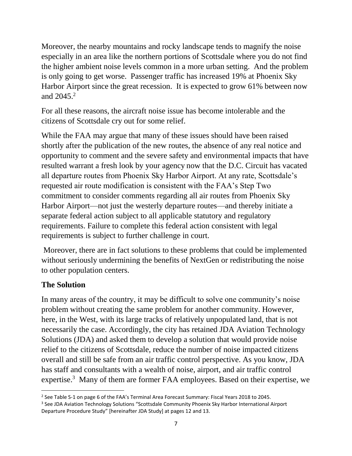Moreover, the nearby mountains and rocky landscape tends to magnify the noise especially in an area like the northern portions of Scottsdale where you do not find the higher ambient noise levels common in a more urban setting. And the problem is only going to get worse. Passenger traffic has increased 19% at Phoenix Sky Harbor Airport since the great recession. It is expected to grow 61% between now and  $2045.2$ 

For all these reasons, the aircraft noise issue has become intolerable and the citizens of Scottsdale cry out for some relief.

While the FAA may argue that many of these issues should have been raised shortly after the publication of the new routes, the absence of any real notice and opportunity to comment and the severe safety and environmental impacts that have resulted warrant a fresh look by your agency now that the D.C. Circuit has vacated all departure routes from Phoenix Sky Harbor Airport. At any rate, Scottsdale's requested air route modification is consistent with the FAA's Step Two commitment to consider comments regarding all air routes from Phoenix Sky Harbor Airport—not just the westerly departure routes—and thereby initiate a separate federal action subject to all applicable statutory and regulatory requirements. Failure to complete this federal action consistent with legal requirements is subject to further challenge in court.

Moreover, there are in fact solutions to these problems that could be implemented without seriously undermining the benefits of NextGen or redistributing the noise to other population centers.

### **The Solution**

In many areas of the country, it may be difficult to solve one community's noise problem without creating the same problem for another community. However, here, in the West, with its large tracks of relatively unpopulated land, that is not necessarily the case. Accordingly, the city has retained JDA Aviation Technology Solutions (JDA) and asked them to develop a solution that would provide noise relief to the citizens of Scottsdale, reduce the number of noise impacted citizens overall and still be safe from an air traffic control perspective. As you know, JDA has staff and consultants with a wealth of noise, airport, and air traffic control expertise.<sup>3</sup> Many of them are former FAA employees. Based on their expertise, we

 $\overline{a}$ 2 See Table S-1 on page 6 of the FAA's Terminal Area Forecast Summary: Fiscal Years 2018 to 2045.

<sup>&</sup>lt;sup>3</sup> See JDA Aviation Technology Solutions "Scottsdale Community Phoenix Sky Harbor International Airport Departure Procedure Study" [hereinafter JDA Study] at pages 12 and 13.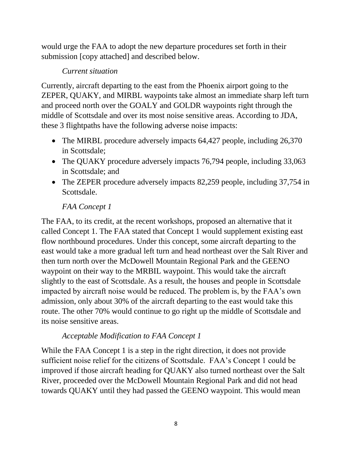would urge the FAA to adopt the new departure procedures set forth in their submission [copy attached] and described below.

### *Current situation*

Currently, aircraft departing to the east from the Phoenix airport going to the ZEPER, QUAKY, and MIRBL waypoints take almost an immediate sharp left turn and proceed north over the GOALY and GOLDR waypoints right through the middle of Scottsdale and over its most noise sensitive areas. According to JDA, these 3 flightpaths have the following adverse noise impacts:

- The MIRBL procedure adversely impacts 64,427 people, including 26,370 in Scottsdale;
- The QUAKY procedure adversely impacts 76,794 people, including 33,063 in Scottsdale; and
- The ZEPER procedure adversely impacts 82,259 people, including 37,754 in Scottsdale.

### *FAA Concept 1*

The FAA, to its credit, at the recent workshops, proposed an alternative that it called Concept 1. The FAA stated that Concept 1 would supplement existing east flow northbound procedures. Under this concept, some aircraft departing to the east would take a more gradual left turn and head northeast over the Salt River and then turn north over the McDowell Mountain Regional Park and the GEENO waypoint on their way to the MRBIL waypoint. This would take the aircraft slightly to the east of Scottsdale. As a result, the houses and people in Scottsdale impacted by aircraft noise would be reduced. The problem is, by the FAA's own admission, only about 30% of the aircraft departing to the east would take this route. The other 70% would continue to go right up the middle of Scottsdale and its noise sensitive areas.

### *Acceptable Modification to FAA Concept 1*

While the FAA Concept 1 is a step in the right direction, it does not provide sufficient noise relief for the citizens of Scottsdale. FAA's Concept 1 could be improved if those aircraft heading for QUAKY also turned northeast over the Salt River, proceeded over the McDowell Mountain Regional Park and did not head towards QUAKY until they had passed the GEENO waypoint. This would mean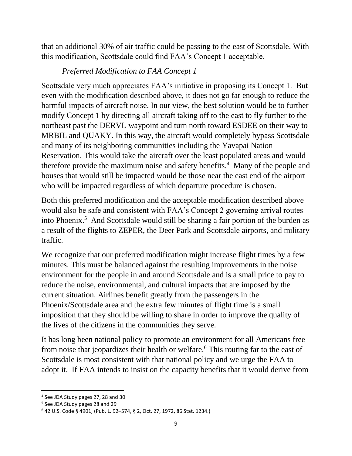that an additional 30% of air traffic could be passing to the east of Scottsdale. With this modification, Scottsdale could find FAA's Concept 1 acceptable.

# *Preferred Modification to FAA Concept 1*

Scottsdale very much appreciates FAA's initiative in proposing its Concept 1. But even with the modification described above, it does not go far enough to reduce the harmful impacts of aircraft noise. In our view, the best solution would be to further modify Concept 1 by directing all aircraft taking off to the east to fly further to the northeast past the DERVL waypoint and turn north toward ESDEE on their way to MRBIL and QUAKY. In this way, the aircraft would completely bypass Scottsdale and many of its neighboring communities including the Yavapai Nation Reservation. This would take the aircraft over the least populated areas and would therefore provide the maximum noise and safety benefits.<sup>4</sup> Many of the people and houses that would still be impacted would be those near the east end of the airport who will be impacted regardless of which departure procedure is chosen.

Both this preferred modification and the acceptable modification described above would also be safe and consistent with FAA's Concept 2 governing arrival routes into Phoenix.<sup>5</sup> And Scottsdale would still be sharing a fair portion of the burden as a result of the flights to ZEPER, the Deer Park and Scottsdale airports, and military traffic.

We recognize that our preferred modification might increase flight times by a few minutes. This must be balanced against the resulting improvements in the noise environment for the people in and around Scottsdale and is a small price to pay to reduce the noise, environmental, and cultural impacts that are imposed by the current situation. Airlines benefit greatly from the passengers in the Phoenix/Scottsdale area and the extra few minutes of flight time is a small imposition that they should be willing to share in order to improve the quality of the lives of the citizens in the communities they serve.

It has long been national policy to promote an environment for all Americans free from noise that jeopardizes their health or welfare.<sup>6</sup> This routing far to the east of Scottsdale is most consistent with that national policy and we urge the FAA to adopt it. If FAA intends to insist on the capacity benefits that it would derive from

 $\overline{a}$ 

<sup>4</sup> See JDA Study pages 27, 28 and 30

<sup>5</sup> See JDA Study pages 28 and 29

<sup>6</sup> 42 U.S. Code § 4901, (Pub. L. 92–574, § 2, Oct. 27, 1972, 86 Stat. 1234.)